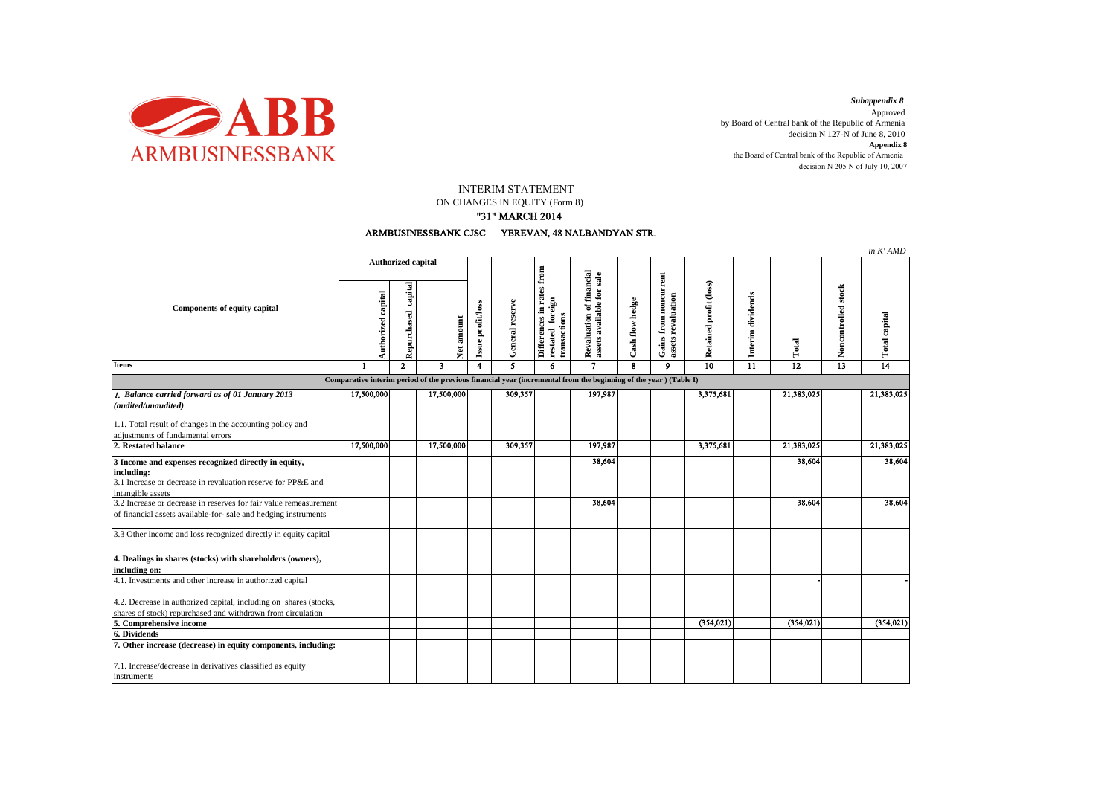

*Subappendix 8*  Approved by Board of Central bank of the Republic of Armenia decision N 127-N of June 8, 2010 **Appendix 8** the Board of Central bank of the Republic of Armenia decision N 205 N of July 10, 2007

INTERIM STATEMENT

ON CHANGES IN EQUITY (Form 8)

## "31" MARCH 2014



|                                                                                                                                      |                                                                                                                  |                        |                         |                                 |                 |                                                                       |                                                       |                 |                                             |                        |                   |            |                     | in K'AMD      |
|--------------------------------------------------------------------------------------------------------------------------------------|------------------------------------------------------------------------------------------------------------------|------------------------|-------------------------|---------------------------------|-----------------|-----------------------------------------------------------------------|-------------------------------------------------------|-----------------|---------------------------------------------|------------------------|-------------------|------------|---------------------|---------------|
| <b>Components of equity capital</b>                                                                                                  | Authorized capital                                                                                               |                        |                         |                                 |                 |                                                                       |                                                       |                 |                                             |                        |                   |            |                     |               |
|                                                                                                                                      | Authorized capital                                                                                               | capital<br>Repurchased |                         | Issue profit/loss<br>Net amount | General reserve | Differences in rates from<br>foreign<br>restated fore<br>transactions | Revaluation of financial<br>assets available for sale | Cash flow hedge | Gains from noncurrent<br>assets revaluation | Retained profit (loss) | Interim dividends | Total      | Noncontrolled stock | Total capital |
| <b>Items</b>                                                                                                                         | $\mathbf{1}$                                                                                                     | $\mathbf{2}$           | $\overline{\mathbf{3}}$ | 4                               | 5               | 6                                                                     | $\mathbf{7}$                                          | 8               | 9                                           | 10                     | 11                | 12         | 13                  | 14            |
|                                                                                                                                      | Comparative interim period of the previous financial year (incremental from the beginning of the year) (Table I) |                        |                         |                                 |                 |                                                                       |                                                       |                 |                                             |                        |                   |            |                     |               |
| 1. Balance carried forward as of 01 January 2013<br>(audited/unaudited)                                                              | 17,500,000                                                                                                       |                        | 17,500,000              |                                 | 309,357         |                                                                       | 197,987                                               |                 |                                             | 3,375,681              |                   | 21,383,025 |                     | 21,383,025    |
| 1.1. Total result of changes in the accounting policy and                                                                            |                                                                                                                  |                        |                         |                                 |                 |                                                                       |                                                       |                 |                                             |                        |                   |            |                     |               |
| adjustments of fundamental errors                                                                                                    |                                                                                                                  |                        |                         |                                 |                 |                                                                       |                                                       |                 |                                             |                        |                   |            |                     |               |
| 2. Restated balance                                                                                                                  | 17,500,000                                                                                                       |                        | 17,500,000              |                                 | 309,357         |                                                                       | 197,987                                               |                 |                                             | 3,375,681              |                   | 21,383,025 |                     | 21,383,025    |
| 3 Income and expenses recognized directly in equity,<br>including:                                                                   |                                                                                                                  |                        |                         |                                 |                 |                                                                       | 38,604                                                |                 |                                             |                        |                   | 38,604     |                     | 38,604        |
| 3.1 Increase or decrease in revaluation reserve for PP&E and<br>intangible assets                                                    |                                                                                                                  |                        |                         |                                 |                 |                                                                       |                                                       |                 |                                             |                        |                   |            |                     |               |
| 3.2 Increase or decrease in reserves for fair value remeasurement<br>of financial assets available-for- sale and hedging instruments |                                                                                                                  |                        |                         |                                 |                 |                                                                       | 38,604                                                |                 |                                             |                        |                   | 38,604     |                     | 38,604        |
| 3.3 Other income and loss recognized directly in equity capital                                                                      |                                                                                                                  |                        |                         |                                 |                 |                                                                       |                                                       |                 |                                             |                        |                   |            |                     |               |
| 4. Dealings in shares (stocks) with shareholders (owners),<br>including on:                                                          |                                                                                                                  |                        |                         |                                 |                 |                                                                       |                                                       |                 |                                             |                        |                   |            |                     |               |
| 4.1. Investments and other increase in authorized capital                                                                            |                                                                                                                  |                        |                         |                                 |                 |                                                                       |                                                       |                 |                                             |                        |                   |            |                     |               |
| 4.2. Decrease in authorized capital, including on shares (stocks,                                                                    |                                                                                                                  |                        |                         |                                 |                 |                                                                       |                                                       |                 |                                             |                        |                   |            |                     |               |
| shares of stock) repurchased and withdrawn from circulation                                                                          |                                                                                                                  |                        |                         |                                 |                 |                                                                       |                                                       |                 |                                             |                        |                   |            |                     |               |
| 5. Comprehensive income                                                                                                              |                                                                                                                  |                        |                         |                                 |                 |                                                                       |                                                       |                 |                                             | (354, 021)             |                   | (354, 021) |                     | (354, 021)    |
| 6. Dividends                                                                                                                         |                                                                                                                  |                        |                         |                                 |                 |                                                                       |                                                       |                 |                                             |                        |                   |            |                     |               |
| 7. Other increase (decrease) in equity components, including:                                                                        |                                                                                                                  |                        |                         |                                 |                 |                                                                       |                                                       |                 |                                             |                        |                   |            |                     |               |
| 7.1. Increase/decrease in derivatives classified as equity<br>instruments                                                            |                                                                                                                  |                        |                         |                                 |                 |                                                                       |                                                       |                 |                                             |                        |                   |            |                     |               |